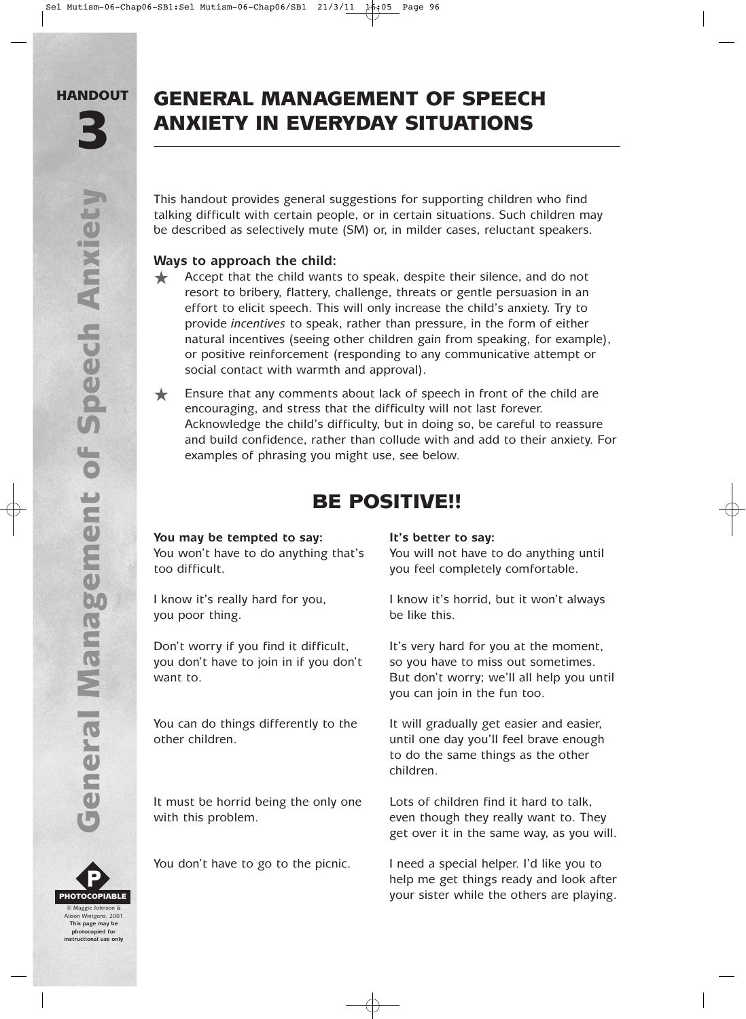# GENERAL MANAGEMENT OF SPEECH ANXIETY IN EVERYDAY SITUATIONS

This handout provides general suggestions for supporting children who find talking difficult with certain people, or in certain situations. Such children may be described as selectively mute (SM) or, in milder cases, reluctant speakers.

# **Ways to approach the child:**

★ Accept that the child wants to speak, despite their silence, and do not resort to bribery, flattery, challenge, threats or gentle persuasion in an effort to elicit speech. This will only increase the child's anxiety. Try to provide *incentives* to speak, rather than pressure, in the form of either natural incentives (seeing other children gain from speaking, for example), or positive reinforcement (responding to any communicative attempt or social contact with warmth and approval).

★ Ensure that any comments about lack of speech in front of the child are encouraging, and stress that the difficulty will not last forever. Acknowledge the child's difficulty, but in doing so, be careful to reassure and build confidence, rather than collude with and add to their anxiety. For examples of phrasing you might use, see below.

# BE POSITIVE!!

# **You may be tempted to say: It's better to say:**

too difficult. you feel completely comfortable.

you poor thing. be like this.

you don't have to join in if you don't so you have to miss out sometimes.

It must be horrid being the only one Lots of children find it hard to talk,

You won't have to do anything that's You will not have to do anything until

I know it's really hard for you, I know it's horrid, but it won't always

Don't worry if you find it difficult, It's very hard for you at the moment, want to. **But don't worry; we'll all help you until** want to. you can join in the fun too.

You can do things differently to the It will gradually get easier and easier, other children. until one day you'll feel brave enough to do the same things as the other children.

with this problem. even though they really want to. They get over it in the same way, as you will.

You don't have to go to the picnic. I need a special helper. I'd like you to help me get things ready and look after your sister while the others are playing.



**photocopied for instructional use only**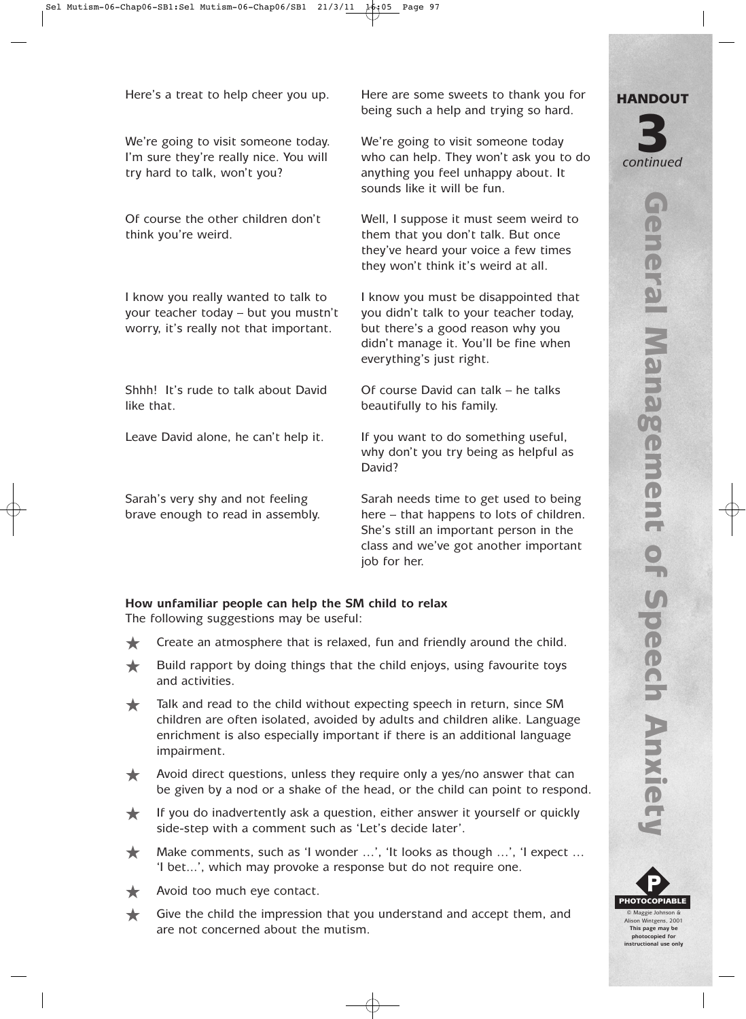We're going to visit someone today. We're going to visit someone today try hard to talk, won't you? anything you feel unhappy about. It

worry, it's really not that important. but there's a good reason why you

Shhh! It's rude to talk about David Of course David can talk – he talks like that. beautifully to his family.

Here's a treat to help cheer you up. Here are some sweets to thank you for being such a help and trying so hard.

I'm sure they're really nice. You will who can help. They won't ask you to do sounds like it will be fun.

Of course the other children don't Well, I suppose it must seem weird to think you're weird. The same that you don't talk. But once they've heard your voice a few times they won't think it's weird at all.

I know you really wanted to talk to I know you must be disappointed that your teacher today – but you mustn't you didn't talk to your teacher today, didn't manage it. You'll be fine when everything's just right.

Leave David alone, he can't help it. If you want to do something useful, why don't you try being as helpful as David?

Sarah's very shy and not feeling Sarah needs time to get used to being brave enough to read in assembly. here – that happens to lots of children. She's still an important person in the class and we've got another important job for her.

## **How unfamiliar people can help the SM child to relax**

The following suggestions may be useful:

- **★** Create an atmosphere that is relaxed, fun and friendly around the child.
- $\bigstar$  Build rapport by doing things that the child enjoys, using favourite toys and activities.
- ★ Talk and read to the child without expecting speech in return, since SM children are often isolated, avoided by adults and children alike. Language enrichment is also especially important if there is an additional language impairment.
- Avoid direct questions, unless they require only a yes/no answer that can be given by a nod or a shake of the head, or the child can point to respond.
- $\bigstar$  If you do inadvertently ask a question, either answer it yourself or quickly side-step with a comment such as 'Let's decide later'.
- $\bigstar$  Make comments, such as 'I wonder ...', 'It looks as though ...', 'I expect ... 'I bet...', which may provoke a response but do not require one.
- Avoid too much eye contact.
- ★ Give the child the impression that you understand and accept them, and are not concerned about the mutism.



**instructional use only**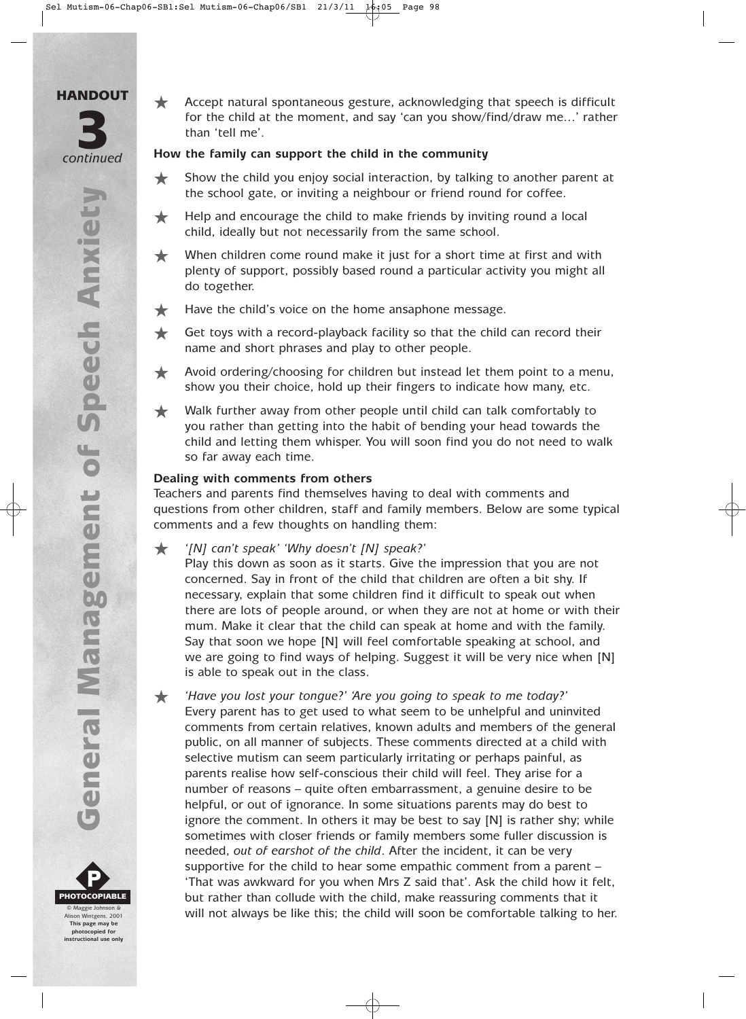- HANDOUT *continued* 3
	- **General Management of Speech Anxiety** General Management of Speech Anxiety



Alison Wintgens, 2001 **This page may be photocopied for instructional use only** ★ Accept natural spontaneous gesture, acknowledging that speech is difficult for the child at the moment, and say 'can you show/find/draw me…' rather than 'tell me'.

## **How the family can support the child in the community**

- ★ Show the child you enjoy social interaction, by talking to another parent at the school gate, or inviting a neighbour or friend round for coffee.
- $\bigstar$  Help and encourage the child to make friends by inviting round a local child, ideally but not necessarily from the same school.
- ★ When children come round make it just for a short time at first and with plenty of support, possibly based round a particular activity you might all do together.
- **★ Have the child's voice on the home ansaphone message.**
- ★ Get toys with a record-playback facility so that the child can record their name and short phrases and play to other people.
- ★ Avoid ordering/choosing for children but instead let them point to a menu, show you their choice, hold up their fingers to indicate how many, etc.
- ★ Walk further away from other people until child can talk comfortably to you rather than getting into the habit of bending your head towards the child and letting them whisper. You will soon find you do not need to walk so far away each time.

### **Dealing with comments from others**

Teachers and parents find themselves having to deal with comments and questions from other children, staff and family members. Below are some typical comments and a few thoughts on handling them:

- ★ *'[N] can't speak' 'Why doesn't [N] speak?'*
	- Play this down as soon as it starts. Give the impression that you are not concerned. Say in front of the child that children are often a bit shy. If necessary, explain that some children find it difficult to speak out when there are lots of people around, or when they are not at home or with their mum. Make it clear that the child can speak at home and with the family. Say that soon we hope [N] will feel comfortable speaking at school, and we are going to find ways of helping. Suggest it will be very nice when [N] is able to speak out in the class.
- ★ *'Have you lost your tongue?' 'Are you going to speak to me today?'* Every parent has to get used to what seem to be unhelpful and uninvited comments from certain relatives, known adults and members of the general public, on all manner of subjects. These comments directed at a child with selective mutism can seem particularly irritating or perhaps painful, as parents realise how self-conscious their child will feel. They arise for a number of reasons – quite often embarrassment, a genuine desire to be helpful, or out of ignorance. In some situations parents may do best to ignore the comment. In others it may be best to say [N] is rather shy; while sometimes with closer friends or family members some fuller discussion is needed, *out of earshot of the child*. After the incident, it can be very supportive for the child to hear some empathic comment from a parent – 'That was awkward for you when Mrs Z said that'. Ask the child how it felt, but rather than collude with the child, make reassuring comments that it  $\frac{1}{\text{Mass}^2}$  alonson & Will not always be like this; the child will soon be comfortable talking to her.